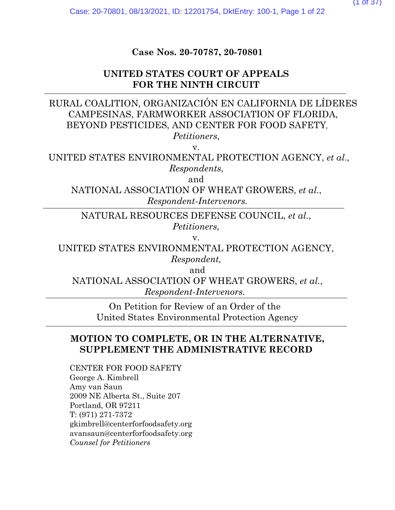**Case Nos. 20-70787, 20-70801**

# **UNITED STATES COURT OF APPEALS FOR THE NINTH CIRCUIT**

# RURAL COALITION, ORGANIZACIÓN EN CALIFORNIA DE LÍDERES CAMPESINAS, FARMWORKER ASSOCIATION OF FLORIDA, BEYOND PESTICIDES, AND CENTER FOR FOOD SAFETY*, Petitioners*,

v.

UNITED STATES ENVIRONMENTAL PROTECTION AGENCY, *et al*., *Respondents*,

and

NATIONAL ASSOCIATION OF WHEAT GROWERS, *et al.*, *Respondent-Intervenors.*

NATURAL RESOURCES DEFENSE COUNCIL, *et al.*, *Petitioners,*

v.

UNITED STATES ENVIRONMENTAL PROTECTION AGENCY, *Respondent,*

and

NATIONAL ASSOCIATION OF WHEAT GROWERS, *et al.*, *Respondent-Intervenors.*

On Petition for Review of an Order of the United States Environmental Protection Agency

# **MOTION TO COMPLETE, OR IN THE ALTERNATIVE, SUPPLEMENT THE ADMINISTRATIVE RECORD**

CENTER FOR FOOD SAFETY George A. Kimbrell Amy van Saun 2009 NE Alberta St., Suite 207 Portland, OR 97211 T: (971) 271-7372 gkimbrell@centerforfoodsafety.org avansaun@centerforfoodsafety.org *Counsel for Petitioners*

 $(1$  of  $3/$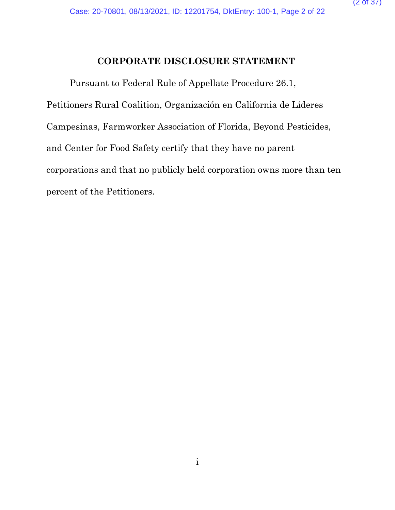# **CORPORATE DISCLOSURE STATEMENT**

Pursuant to Federal Rule of Appellate Procedure 26.1, Petitioners Rural Coalition, Organización en California de Líderes Campesinas, Farmworker Association of Florida, Beyond Pesticides, and Center for Food Safety certify that they have no parent corporations and that no publicly held corporation owns more than ten percent of the Petitioners.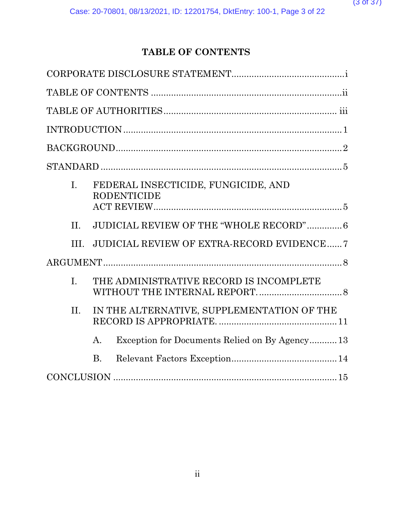# **TABLE OF CONTENTS**

| $\overline{L}$ | FEDERAL INSECTICIDE, FUNGICIDE, AND<br><b>RODENTICIDE</b>       |
|----------------|-----------------------------------------------------------------|
|                |                                                                 |
| $\Pi$ .        | <b>JUDICIAL REVIEW OF THE "WHOLE RECORD" 6</b>                  |
| III.           | <b>JUDICIAL REVIEW OF EXTRA-RECORD EVIDENCE 7</b>               |
|                |                                                                 |
| $\mathbf{I}$ . | THE ADMINISTRATIVE RECORD IS INCOMPLETE                         |
| II.            | IN THE ALTERNATIVE, SUPPLEMENTATION OF THE                      |
|                | Exception for Documents Relied on By Agency13<br>$\mathsf{A}$ . |
|                | <b>B.</b>                                                       |
|                |                                                                 |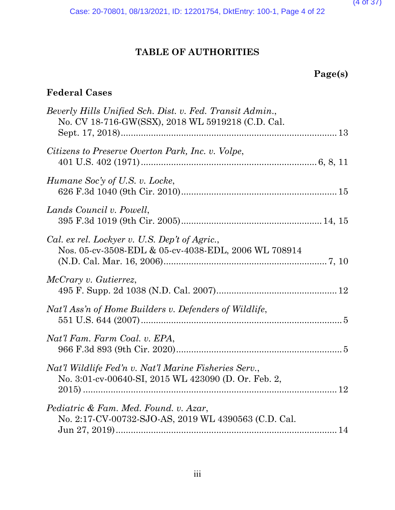$(4 \text{ of } 3)$ 

Case: 20-70801, 08/13/2021, ID: 12201754, DktEntry: 100-1, Page 4 of 22

# **TABLE OF AUTHORITIES**

# **Page(s)**

# **Federal Cases**

| Beverly Hills Unified Sch. Dist. v. Fed. Transit Admin.,<br>No. CV 18-716-GW(SSX), 2018 WL 5919218 (C.D. Cal. |  |
|---------------------------------------------------------------------------------------------------------------|--|
|                                                                                                               |  |
| Citizens to Preserve Overton Park, Inc. v. Volpe,                                                             |  |
| Humane Soc'y of U.S. v. Locke,                                                                                |  |
| Lands Council v. Powell,                                                                                      |  |
| Cal. ex rel. Lockyer v. U.S. Dep't of Agric.,<br>Nos. 05-cv-3508-EDL & 05-cv-4038-EDL, 2006 WL 708914         |  |
| McCrary v. Gutierrez,                                                                                         |  |
| Nat'l Ass'n of Home Builders v. Defenders of Wildlife,                                                        |  |
| Nat'l Fam. Farm Coal. v. EPA,                                                                                 |  |
| Nat'l Wildlife Fed'n v. Nat'l Marine Fisheries Serv.,<br>No. 3:01-cv-00640-SI, 2015 WL 423090 (D. Or. Feb. 2, |  |
| Pediatric & Fam. Med. Found. v. Azar,<br>No. 2:17-CV-00732-SJO-AS, 2019 WL 4390563 (C.D. Cal.                 |  |
|                                                                                                               |  |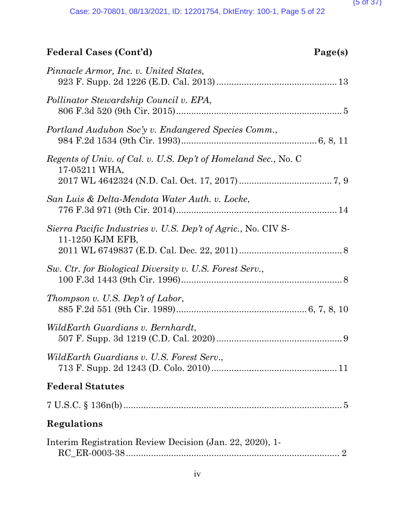# **Federal Cases (Cont'd) Page(s)**

| Pinnacle Armor, Inc. v. United States,                                            |
|-----------------------------------------------------------------------------------|
| Pollinator Stewardship Council v. EPA,                                            |
| Portland Audubon Soc'y v. Endangered Species Comm.,                               |
| Regents of Univ. of Cal. v. U.S. Dep't of Homeland Sec., No. C<br>17-05211 WHA,   |
| San Luis & Delta-Mendota Water Auth. v. Locke,                                    |
| Sierra Pacific Industries v. U.S. Dep't of Agric., No. CIV S-<br>11-1250 KJM EFB, |
| Sw. Ctr. for Biological Diversity v. U.S. Forest Serv.,                           |
| Thompson v. U.S. Dep't of Labor,                                                  |
| WildEarth Guardians v. Bernhardt,                                                 |
| WildEarth Guardians v. U.S. Forest Serv.,                                         |
| <b>Federal Statutes</b>                                                           |
| $7 U.S.C. \S 136n(b) \dots 5$                                                     |
| Regulations                                                                       |
| Interim Registration Review Decision (Jan. 22, 2020), 1-                          |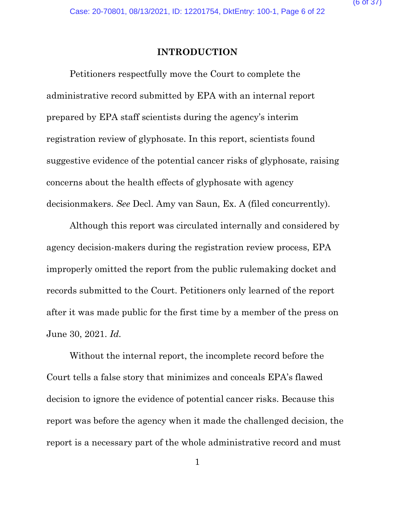## **INTRODUCTION**

Petitioners respectfully move the Court to complete the administrative record submitted by EPA with an internal report prepared by EPA staff scientists during the agency's interim registration review of glyphosate. In this report, scientists found suggestive evidence of the potential cancer risks of glyphosate, raising concerns about the health effects of glyphosate with agency decisionmakers. *See* Decl. Amy van Saun, Ex. A (filed concurrently).

Although this report was circulated internally and considered by agency decision-makers during the registration review process, EPA improperly omitted the report from the public rulemaking docket and records submitted to the Court. Petitioners only learned of the report after it was made public for the first time by a member of the press on June 30, 2021. *Id.*

Without the internal report, the incomplete record before the Court tells a false story that minimizes and conceals EPA's flawed decision to ignore the evidence of potential cancer risks. Because this report was before the agency when it made the challenged decision, the report is a necessary part of the whole administrative record and must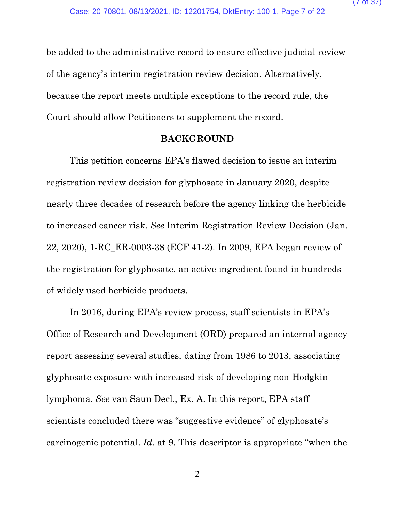be added to the administrative record to ensure effective judicial review of the agency's interim registration review decision. Alternatively, because the report meets multiple exceptions to the record rule, the Court should allow Petitioners to supplement the record.

# **BACKGROUND**

This petition concerns EPA's flawed decision to issue an interim registration review decision for glyphosate in January 2020, despite nearly three decades of research before the agency linking the herbicide to increased cancer risk. *See* Interim Registration Review Decision (Jan. 22, 2020), 1-RC\_ER-0003-38 (ECF 41-2). In 2009, EPA began review of the registration for glyphosate, an active ingredient found in hundreds of widely used herbicide products.

In 2016, during EPA's review process, staff scientists in EPA's Office of Research and Development (ORD) prepared an internal agency report assessing several studies, dating from 1986 to 2013, associating glyphosate exposure with increased risk of developing non-Hodgkin lymphoma. *See* van Saun Decl., Ex. A. In this report, EPA staff scientists concluded there was "suggestive evidence" of glyphosate's carcinogenic potential. *Id.* at 9. This descriptor is appropriate "when the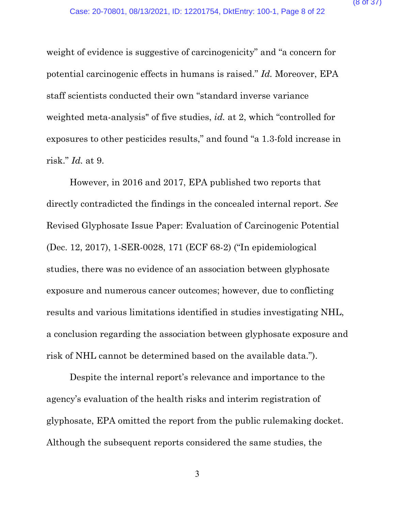weight of evidence is suggestive of carcinogenicity" and "a concern for potential carcinogenic effects in humans is raised." *Id.* Moreover, EPA staff scientists conducted their own "standard inverse variance weighted meta-analysis" of five studies, *id.* at 2, which "controlled for exposures to other pesticides results," and found "a 1.3-fold increase in risk." *Id.* at 9.

However, in 2016 and 2017, EPA published two reports that directly contradicted the findings in the concealed internal report. *See*  Revised Glyphosate Issue Paper: Evaluation of Carcinogenic Potential (Dec. 12, 2017), 1-SER-0028, 171 (ECF 68-2) ("In epidemiological studies, there was no evidence of an association between glyphosate exposure and numerous cancer outcomes; however, due to conflicting results and various limitations identified in studies investigating NHL, a conclusion regarding the association between glyphosate exposure and risk of NHL cannot be determined based on the available data.").

Despite the internal report's relevance and importance to the agency's evaluation of the health risks and interim registration of glyphosate, EPA omitted the report from the public rulemaking docket. Although the subsequent reports considered the same studies, the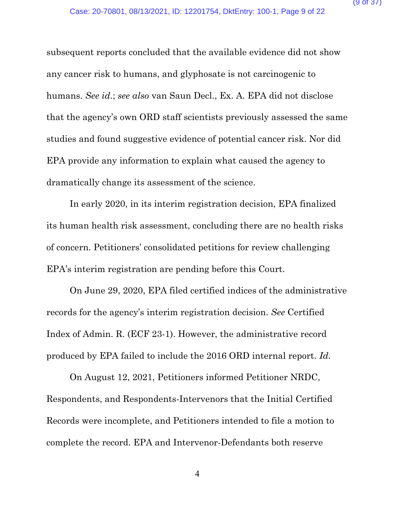subsequent reports concluded that the available evidence did not show any cancer risk to humans, and glyphosate is not carcinogenic to humans. *See id*.; *see also* van Saun Decl., Ex. A. EPA did not disclose that the agency's own ORD staff scientists previously assessed the same studies and found suggestive evidence of potential cancer risk. Nor did EPA provide any information to explain what caused the agency to dramatically change its assessment of the science.

In early 2020, in its interim registration decision, EPA finalized its human health risk assessment, concluding there are no health risks of concern. Petitioners' consolidated petitions for review challenging EPA's interim registration are pending before this Court.

On June 29, 2020, EPA filed certified indices of the administrative records for the agency's interim registration decision. *See* Certified Index of Admin. R. (ECF 23-1). However, the administrative record produced by EPA failed to include the 2016 ORD internal report. *Id.* 

On August 12, 2021, Petitioners informed Petitioner NRDC, Respondents, and Respondents-Intervenors that the Initial Certified Records were incomplete, and Petitioners intended to file a motion to complete the record. EPA and Intervenor-Defendants both reserve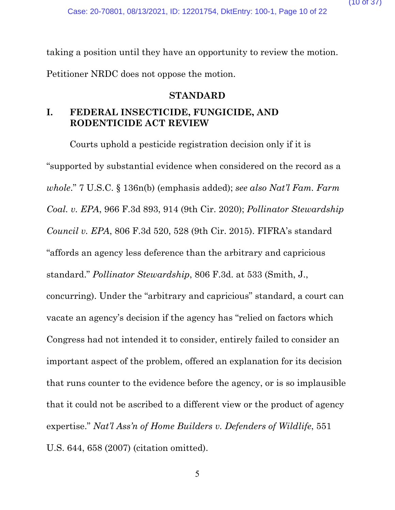taking a position until they have an opportunity to review the motion. Petitioner NRDC does not oppose the motion.

**STANDARD**

# **I. FEDERAL INSECTICIDE, FUNGICIDE, AND RODENTICIDE ACT REVIEW**

Courts uphold a pesticide registration decision only if it is "supported by substantial evidence when considered on the record as a *whole*." 7 U.S.C. § 136n(b) (emphasis added); *see also Nat'l Fam. Farm Coal. v. EPA*, 966 F.3d 893, 914 (9th Cir. 2020); *Pollinator Stewardship Council v. EPA*, 806 F.3d 520, 528 (9th Cir. 2015). FIFRA's standard "affords an agency less deference than the arbitrary and capricious standard." *Pollinator Stewardship*, 806 F.3d. at 533 (Smith, J., concurring). Under the "arbitrary and capricious" standard, a court can vacate an agency's decision if the agency has "relied on factors which Congress had not intended it to consider, entirely failed to consider an important aspect of the problem, offered an explanation for its decision that runs counter to the evidence before the agency, or is so implausible that it could not be ascribed to a different view or the product of agency expertise." *Nat'l Ass'n of Home Builders v. Defenders of Wildlife*, 551 U.S. 644, 658 (2007) (citation omitted).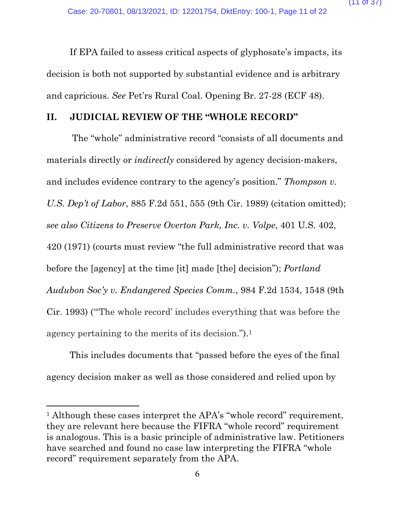If EPA failed to assess critical aspects of glyphosate's impacts, its decision is both not supported by substantial evidence and is arbitrary and capricious. *See* Pet'rs Rural Coal. Opening Br. 27-28 (ECF 48).

## **II. JUDICIAL REVIEW OF THE "WHOLE RECORD"**

The "whole" administrative record "consists of all documents and materials directly or *indirectly* considered by agency decision-makers, and includes evidence contrary to the agency's position." *[Thompson](https://1.next.westlaw.com/Link/Document/FullText?findType=Y&serNum=1989128609&pubNum=0000350&originatingDoc=I65848920405311ebbe20d81a53907f9d&refType=RP&fi=co_pp_sp_350_555&originationContext=document&transitionType=DocumentItem&ppcid=ccec16cf81804a8fa6cbcaee748b5505&contextData=(sc.Search)#co_pp_sp_350_555) v. [U.S. Dep't of Labor](https://1.next.westlaw.com/Link/Document/FullText?findType=Y&serNum=1989128609&pubNum=0000350&originatingDoc=I65848920405311ebbe20d81a53907f9d&refType=RP&fi=co_pp_sp_350_555&originationContext=document&transitionType=DocumentItem&ppcid=ccec16cf81804a8fa6cbcaee748b5505&contextData=(sc.Search)#co_pp_sp_350_555)*, 885 F.2d 551, 555 (9th Cir. 1989) (citation omitted); *see also Citizens to Preserve Overton Park, Inc. v. Volpe*, 401 U.S. 402, 420 (1971) (courts must review "the full administrative record that was before the [agency] at the time [it] made [the] decision"); *[Portland](https://1.next.westlaw.com/Link/Document/FullText?findType=Y&serNum=1993045399&pubNum=0000350&originatingDoc=Id5003710d6d511e9b449da4f1cc0e662&refType=RP&fi=co_pp_sp_350_1548&originationContext=document&transitionType=DocumentItem&ppcid=8d4b0f79de1c4ab586eb152f5d43a7d4&contextData=(sc.Keycite)#co_pp_sp_350_1548)  Audubon Soc'y [v. Endangered Species Comm.](https://1.next.westlaw.com/Link/Document/FullText?findType=Y&serNum=1993045399&pubNum=0000350&originatingDoc=Id5003710d6d511e9b449da4f1cc0e662&refType=RP&fi=co_pp_sp_350_1548&originationContext=document&transitionType=DocumentItem&ppcid=8d4b0f79de1c4ab586eb152f5d43a7d4&contextData=(sc.Keycite)#co_pp_sp_350_1548)*, 984 F.2d 1534, 1548 (9th [Cir. 1993\)](https://1.next.westlaw.com/Link/Document/FullText?findType=Y&serNum=1993045399&pubNum=0000350&originatingDoc=Id5003710d6d511e9b449da4f1cc0e662&refType=RP&fi=co_pp_sp_350_1548&originationContext=document&transitionType=DocumentItem&ppcid=8d4b0f79de1c4ab586eb152f5d43a7d4&contextData=(sc.Keycite)#co_pp_sp_350_1548) ("'The whole record' includes everything that was before the agency pertaining to the merits of its decision.").[1](#page-17-0)

This includes documents that "passed before the eyes of the final agency decision maker as well as those considered and relied upon by

<sup>&</sup>lt;sup>1</sup> Although these cases interpret the APA's "whole record" requirement, they are relevant here because the FIFRA "whole record" requirement is analogous. This is a basic principle of administrative law. Petitioners have searched and found no case law interpreting the FIFRA "whole record" requirement separately from the APA.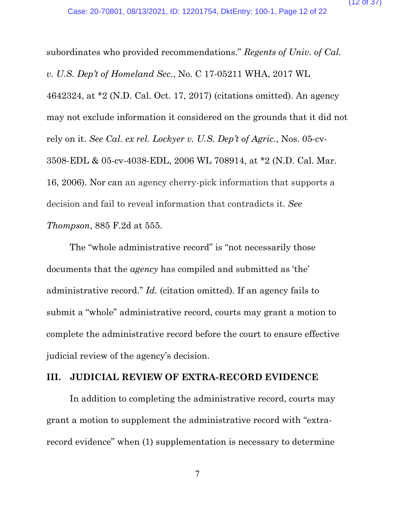subordinates who provided recommendations." *[Regents of Univ. of Cal.](https://1.next.westlaw.com/Link/Document/FullText?findType=Y&serNum=2042900743&pubNum=0000999&originatingDoc=I65848920405311ebbe20d81a53907f9d&refType=RP&originationContext=document&transitionType=DocumentItem&ppcid=ccec16cf81804a8fa6cbcaee748b5505&contextData=(sc.Search))  v. U.S. Dep't of Homeland Sec.*[, No. C 17-05211 WHA, 2017 WL](https://1.next.westlaw.com/Link/Document/FullText?findType=Y&serNum=2042900743&pubNum=0000999&originatingDoc=I65848920405311ebbe20d81a53907f9d&refType=RP&originationContext=document&transitionType=DocumentItem&ppcid=ccec16cf81804a8fa6cbcaee748b5505&contextData=(sc.Search))  [4642324, at \\*2 \(N.D. Cal. Oct. 17, 2017\)](https://1.next.westlaw.com/Link/Document/FullText?findType=Y&serNum=2042900743&pubNum=0000999&originatingDoc=I65848920405311ebbe20d81a53907f9d&refType=RP&originationContext=document&transitionType=DocumentItem&ppcid=ccec16cf81804a8fa6cbcaee748b5505&contextData=(sc.Search)) (citations omitted). An agency may not exclude information it considered on the grounds that it did not rely on it. *See Cal. ex rel. Lockyer v. U.S. Dep't of Agric.*, Nos. 05-cv-3508-EDL & 05-cv-4038-EDL, 2006 WL 708914, at \*2 (N.D. Cal. Mar. 16, 2006). Nor can an agency cherry-pick information that supports a decision and fail to reveal information that contradicts it. *See [Thompson](https://1.next.westlaw.com/Link/Document/FullText?findType=Y&serNum=1989128609&pubNum=0000350&originatingDoc=I65848920405311ebbe20d81a53907f9d&refType=RP&fi=co_pp_sp_350_555&originationContext=document&transitionType=DocumentItem&ppcid=ccec16cf81804a8fa6cbcaee748b5505&contextData=(sc.Search)#co_pp_sp_350_555)*[, 885 F.2d at 555.](https://1.next.westlaw.com/Link/Document/FullText?findType=Y&serNum=1989128609&pubNum=0000350&originatingDoc=I65848920405311ebbe20d81a53907f9d&refType=RP&fi=co_pp_sp_350_555&originationContext=document&transitionType=DocumentItem&ppcid=ccec16cf81804a8fa6cbcaee748b5505&contextData=(sc.Search)#co_pp_sp_350_555)

The "whole administrative record" is "not necessarily those documents that the *agency* has compiled and submitted as 'the' administrative record." *Id.* (citation omitted). If an agency fails to submit a "whole" administrative record, courts may grant a motion to complete the administrative record before the court to ensure effective judicial review of the agency's decision.

## **III. JUDICIAL REVIEW OF EXTRA-RECORD EVIDENCE**

In addition to completing the administrative record, courts may grant a motion to supplement the administrative record with "extrarecord evidence" when (1) supplementation is necessary to determine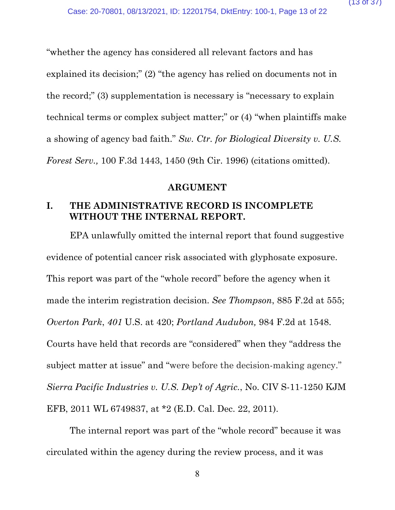"whether the agency has considered all relevant factors and has explained its decision;" (2) "the agency has relied on documents not in the record;" (3) supplementation is necessary is "necessary to explain technical terms or complex subject matter;" or (4) "when plaintiffs make a showing of agency bad faith." *Sw. Ctr. [for Biological Diversity v. U.S.](https://1.next.westlaw.com/Link/Document/FullText?findType=Y&serNum=1996257427&pubNum=0000506&originatingDoc=I5e10c3ab79ec11d99c4dbb2f0352441d&refType=RP&fi=co_pp_sp_506_1450&originationContext=document&transitionType=DocumentItem&ppcid=ead81df0784342b6a9984f9543dcac6a&contextData=(sc.DocLink)#co_pp_sp_506_1450)  Forest Serv.,* [100 F.3d 1443, 1450](https://1.next.westlaw.com/Link/Document/FullText?findType=Y&serNum=1996257427&pubNum=0000506&originatingDoc=I5e10c3ab79ec11d99c4dbb2f0352441d&refType=RP&fi=co_pp_sp_506_1450&originationContext=document&transitionType=DocumentItem&ppcid=ead81df0784342b6a9984f9543dcac6a&contextData=(sc.DocLink)#co_pp_sp_506_1450) (9th Cir. 1996) (citations omitted).

## **ARGUMENT**

# **I. THE ADMINISTRATIVE RECORD IS INCOMPLETE WITHOUT THE INTERNAL REPORT.**

EPA unlawfully omitted the internal report that found suggestive evidence of potential cancer risk associated with glyphosate exposure. This report was part of the "whole record" before the agency when it made the interim registration decision. *See [Thompson](https://1.next.westlaw.com/Link/Document/FullText?findType=Y&serNum=1989128609&pubNum=0000350&originatingDoc=I65848920405311ebbe20d81a53907f9d&refType=RP&fi=co_pp_sp_350_555&originationContext=document&transitionType=DocumentItem&ppcid=ccec16cf81804a8fa6cbcaee748b5505&contextData=(sc.Search)#co_pp_sp_350_555)*[, 885 F.2d at 555;](https://1.next.westlaw.com/Link/Document/FullText?findType=Y&serNum=1989128609&pubNum=0000350&originatingDoc=I65848920405311ebbe20d81a53907f9d&refType=RP&fi=co_pp_sp_350_555&originationContext=document&transitionType=DocumentItem&ppcid=ccec16cf81804a8fa6cbcaee748b5505&contextData=(sc.Search)#co_pp_sp_350_555) *Overton Park*, *401* U.S. at 420; *Portland Audubon,* 984 F.2d at 1548. Courts have held that records are "considered" when they "address the subject matter at issue" and "were before the decision-making agency." *[Sierra Pacific Industries v. U.S. Dep't of Agric.](https://1.next.westlaw.com/Link/Document/FullText?findType=Y&serNum=2026760128&pubNum=0000999&originatingDoc=I762d6430e7a011e8a99cca37ea0f7dc8&refType=RP&originationContext=document&transitionType=DocumentItem&ppcid=a515c8ef631d43aeba90dd7f766ea41f&contextData=(sc.Keycite))*, No. CIV S-11[-1250 KJM](https://1.next.westlaw.com/Link/Document/FullText?findType=Y&serNum=2026760128&pubNum=0000999&originatingDoc=I762d6430e7a011e8a99cca37ea0f7dc8&refType=RP&originationContext=document&transitionType=DocumentItem&ppcid=a515c8ef631d43aeba90dd7f766ea41f&contextData=(sc.Keycite))  [EFB, 2011 WL 6749837, at \\*2 \(E.D. Cal. Dec. 22, 2011\).](https://1.next.westlaw.com/Link/Document/FullText?findType=Y&serNum=2026760128&pubNum=0000999&originatingDoc=I762d6430e7a011e8a99cca37ea0f7dc8&refType=RP&originationContext=document&transitionType=DocumentItem&ppcid=a515c8ef631d43aeba90dd7f766ea41f&contextData=(sc.Keycite))

The internal report was part of the "whole record" because it was circulated within the agency during the review process, and it was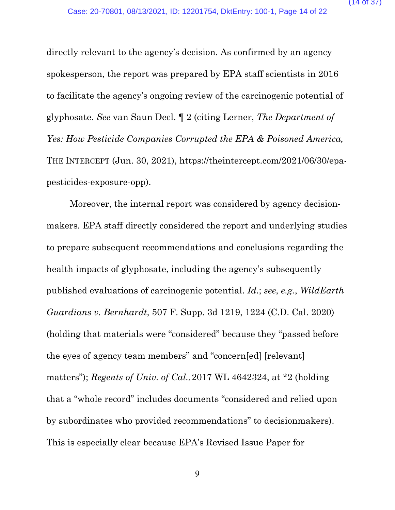directly relevant to the agency's decision. As confirmed by an agency spokesperson, the report was prepared by EPA staff scientists in 2016 to facilitate the agency's ongoing review of the carcinogenic potential of glyphosate. *See* van Saun Decl. ¶ 2 (citing Lerner, *The Department of Yes: How Pesticide Companies Corrupted the EPA & Poisoned America,* THE INTERCEPT (Jun. 30, 2021), https://theintercept.com/2021/06/30/epapesticides-exposure-opp).

Moreover, the internal report was considered by agency decisionmakers. EPA staff directly considered the report and underlying studies to prepare subsequent recommendations and conclusions regarding the health impacts of glyphosate, including the agency's subsequently published evaluations of carcinogenic potential. *Id.*; *see*, *e.g.*, *WildEarth Guardians v. Bernhardt*, 507 F. Supp. 3d 1219, 1224 (C.D. Cal. 2020) (holding that materials were "considered" because they "passed before the eyes of agency team members" and "concern[ed] [relevant] matters"); *Regents of Univ. of Cal.*, 2017 WL 4642324, at \*2 (holding that a "whole record" includes documents "considered and relied upon by subordinates who provided recommendations" to decisionmakers). This is especially clear because EPA's Revised Issue Paper for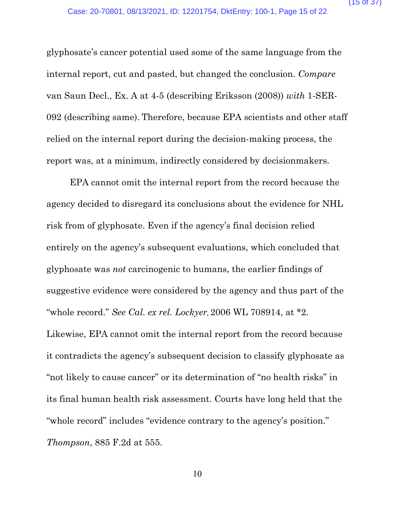glyphosate's cancer potential used some of the same language from the internal report, cut and pasted, but changed the conclusion. *Compare*  van Saun Decl., Ex. A at 4-5 (describing Eriksson (2008)) *with* 1-SER-092 (describing same). Therefore, because EPA scientists and other staff relied on the internal report during the decision-making process, the report was, at a minimum, indirectly considered by decisionmakers.

EPA cannot omit the internal report from the record because the agency decided to disregard its conclusions about the evidence for NHL risk from of glyphosate. Even if the agency's final decision relied entirely on the agency's subsequent evaluations, which concluded that glyphosate was *not* carcinogenic to humans, the earlier findings of suggestive evidence were considered by the agency and thus part of the "whole record." *See Cal. ex rel. Lockyer*, 2006 WL 708914, at \*2. Likewise, EPA cannot omit the internal report from the record because it contradicts the agency's subsequent decision to classify glyphosate as "not likely to cause cancer" or its determination of "no health risks" in its final human health risk assessment. Courts have long held that the "whole record" includes "evidence contrary to the agency's position." *[Thompson](https://1.next.westlaw.com/Link/Document/FullText?findType=Y&serNum=1989128609&pubNum=0000350&originatingDoc=I65848920405311ebbe20d81a53907f9d&refType=RP&fi=co_pp_sp_350_555&originationContext=document&transitionType=DocumentItem&ppcid=ccec16cf81804a8fa6cbcaee748b5505&contextData=(sc.Search)#co_pp_sp_350_555)*[, 885 F.2d at 555.](https://1.next.westlaw.com/Link/Document/FullText?findType=Y&serNum=1989128609&pubNum=0000350&originatingDoc=I65848920405311ebbe20d81a53907f9d&refType=RP&fi=co_pp_sp_350_555&originationContext=document&transitionType=DocumentItem&ppcid=ccec16cf81804a8fa6cbcaee748b5505&contextData=(sc.Search)#co_pp_sp_350_555)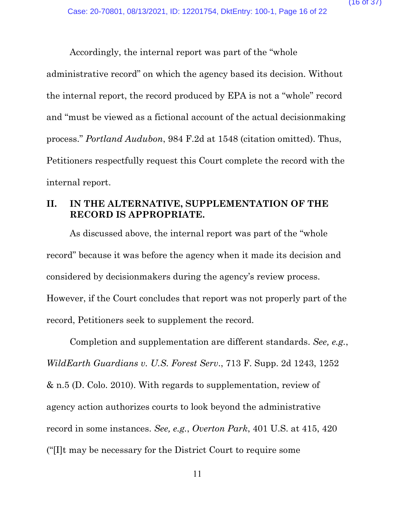Accordingly, the internal report was part of the "whole

administrative record" on which the agency based its decision. Without the internal report, the record produced by EPA is not a "whole" record and "must be viewed as a fictional account of the actual decisionmaking process." *Portland Audubon*, 984 F.2d at 1548 (citation omitted). Thus, Petitioners respectfully request this Court complete the record with the internal report.

# **II. IN THE ALTERNATIVE, SUPPLEMENTATION OF THE RECORD IS APPROPRIATE.**

As discussed above, the internal report was part of the "whole record" because it was before the agency when it made its decision and considered by decisionmakers during the agency's review process. However, if the Court concludes that report was not properly part of the record, Petitioners seek to supplement the record.

Completion and supplementation are different standards. *See, e.g.*, *WildEarth Guardians v. U.S. Forest Serv*., 713 F. Supp. 2d 1243, 1252 & n.5 (D. Colo. 2010). With regards to supplementation, review of agency action authorizes courts to look beyond the administrative record in some instances. *See, e.g.*, *Overton Park*, 401 U.S. at 415, 420 ("[I]t may be necessary for the District Court to require some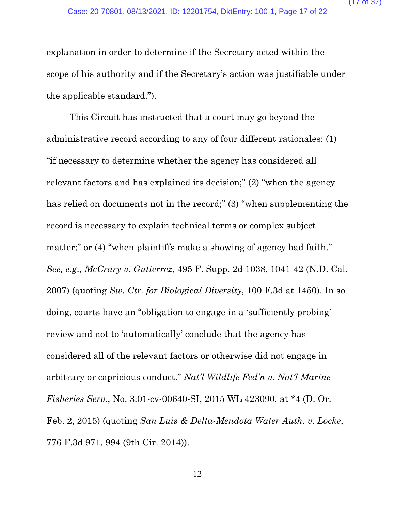explanation in order to determine if the Secretary acted within the scope of his authority and if the Secretary's action was justifiable under the applicable standard.").

This Circuit has instructed that a court may go beyond the administrative record according to any of four different rationales: (1) "if necessary to determine whether the agency has considered all relevant factors and has explained its decision;" (2) "when the agency has relied on documents not in the record;" (3) "when supplementing the record is necessary to explain technical terms or complex subject matter;" or (4) "when plaintiffs make a showing of agency bad faith." *See, e.g*.*, McCrary v. Gutierrez*, 495 F. Supp. 2d 1038, 1041-42 (N.D. Cal. 2007) (quoting *Sw. Ctr. for Biological Diversity*, 100 F.3d at 1450). In so doing, courts have an "obligation to engage in a 'sufficiently probing' review and not to 'automatically' conclude that the agency has considered all of the relevant factors or otherwise did not engage in arbitrary or capricious conduct." *Nat'l Wildlife Fed'n v. Nat'l Marine Fisheries Serv.*, No. 3:01-cv-00640-SI, 2015 WL 423090, at \*4 (D. Or. Feb. 2, 2015) (quoting *San Luis & Delta-Mendota Water Auth. v. Locke*, 776 F.3d 971, 994 (9th Cir. 2014)).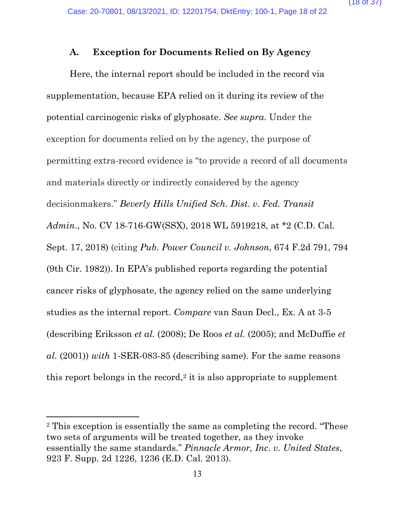## **A. Exception for Documents Relied on By Agency**

Here, the internal report should be included in the record via supplementation, because EPA relied on it during its review of the potential carcinogenic risks of glyphosate. *See supra*. Under the exception for documents relied on by the agency, the purpose of permitting extra-record evidence is "to provide a record of all documents and materials directly or indirectly considered by the agency decisionmakers." *Beverly Hills Unified Sch. Dist. v. Fed. Transit Admin*., No. CV 18-716-GW(SSX), 2018 WL 5919218, at \*2 (C.D. Cal. Sept. 17, 2018) (citing *Pub. Power Council v. Johnson*, 674 F.2d 791, 794 (9th Cir. 1982)). In EPA's published reports regarding the potential cancer risks of glyphosate, the agency relied on the same underlying studies as the internal report. *Compare* van Saun Decl., Ex. A at 3-5 (describing Eriksson *et al.* (2008); De Roos *et al.* (2005); and McDuffie *et al.* (2001)) *with* 1-SER-083-85 (describing same). For the same reasons this report belongs in the record,<sup>[2](#page-17-0)</sup> it is also appropriate to supplement

<span id="page-17-0"></span><sup>2</sup> This exception is essentially the same as completing the record. "These two sets of arguments will be treated together, as they invoke essentially the same standards." *Pinnacle Armor, Inc. v. United States*, 923 F. Supp. 2d 1226, 1236 (E.D. Cal. 2013).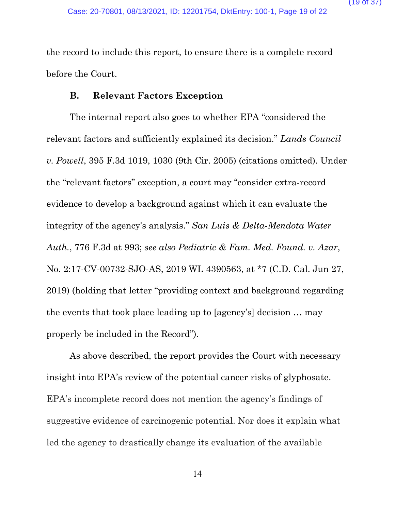the record to include this report, to ensure there is a complete record before the Court.

# **B. Relevant Factors Exception**

The internal report also goes to whether EPA "considered the relevant factors and sufficiently explained its decision." *Lands Council v. Powell*, 395 F.3d 1019, 1030 (9th Cir. 2005) (citations omitted). Under the "relevant factors" exception, a court may "consider extra-record evidence to develop a background against which it can evaluate the integrity of the agency's analysis." *San Luis & Delta-Mendota Water Auth.*, 776 F.3d at 993; *see also Pediatric & Fam. Med. Found. v. Azar*, No. 2:17-CV-00732-SJO-AS, 2019 WL 4390563, at \*7 (C.D. Cal. Jun 27, 2019) (holding that letter "providing context and background regarding the events that took place leading up to [agency's] decision … may properly be included in the Record").

As above described, the report provides the Court with necessary insight into EPA's review of the potential cancer risks of glyphosate. EPA's incomplete record does not mention the agency's findings of suggestive evidence of carcinogenic potential. Nor does it explain what led the agency to drastically change its evaluation of the available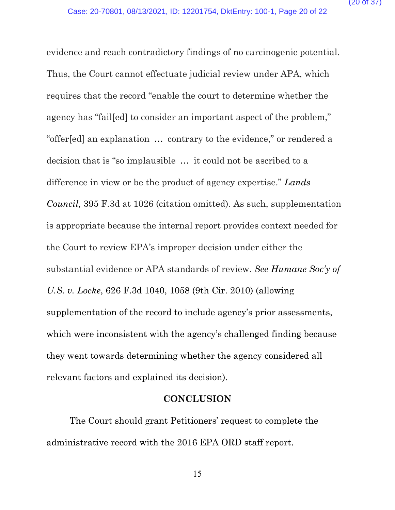evidence and reach contradictory findings of no carcinogenic potential. Thus, the Court cannot effectuate judicial review under APA, which requires that the record "enable the court to determine whether the agency has "fail[ed] to consider an important aspect of the problem," "offer[ed] an explanation … contrary to the evidence," or rendered a decision that is "so implausible … it could not be ascribed to a difference in view or be the product of agency expertise." *Lands Council,* 395 F.3d at 1026 (citation omitted). As such, supplementation is appropriate because the internal report provides context needed for the Court to review EPA's improper decision under either the substantial evidence or APA standards of review. *See Humane Soc'y of U.S. v. Locke*, 626 F.3d 1040, 1058 (9th Cir. 2010) (allowing supplementation of the record to include agency's prior assessments, which were inconsistent with the agency's challenged finding because they went towards determining whether the agency considered all relevant factors and explained its decision).

## **CONCLUSION**

The Court should grant Petitioners' request to complete the administrative record with the 2016 EPA ORD staff report.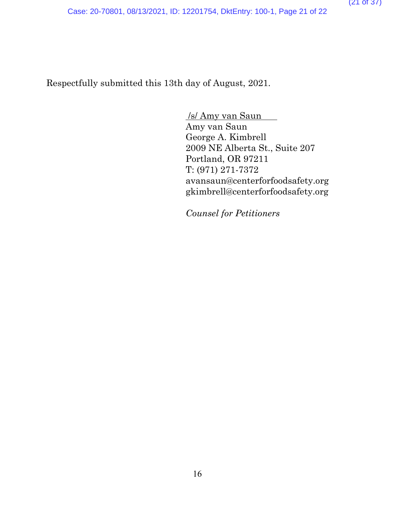Case: 20-70801, 08/13/2021, ID: 12201754, DktEntry: 100-1, Page 21 of 22

Respectfully submitted this 13th day of August, 2021.

/s/ Amy van Saun Amy van Saun George A. Kimbrell 2009 NE Alberta St., Suite 207 Portland, OR 97211 T: (971) 271-7372 avansaun@centerforfoodsafety.org gkimbrell@centerforfoodsafety.org

*Counsel for Petitioners*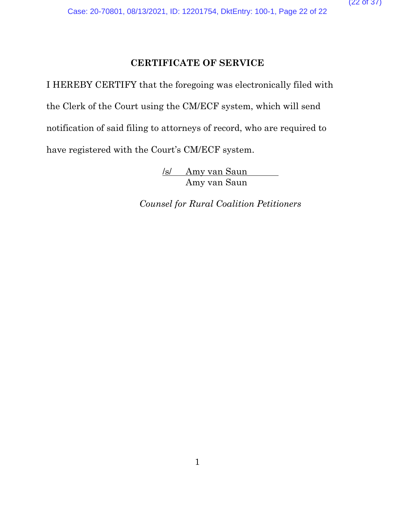# **CERTIFICATE OF SERVICE**

I HEREBY CERTIFY that the foregoing was electronically filed with the Clerk of the Court using the CM/ECF system, which will send notification of said filing to attorneys of record, who are required to have registered with the Court's CM/ECF system.

> /s/ Amy van Saun Amy van Saun

*Counsel for Rural Coalition Petitioners*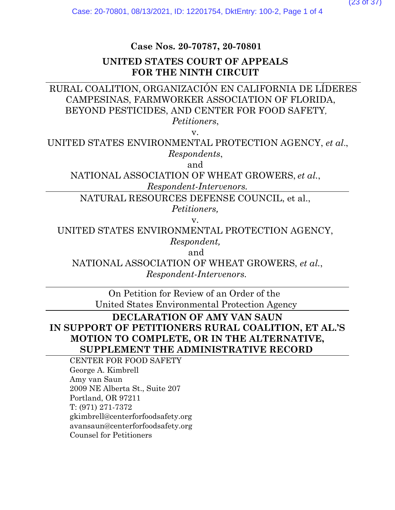# **Case Nos. 20-70787, 20-70801**

## **UNITED STATES COURT OF APPEALS FOR THE NINTH CIRCUIT**

# RURAL COALITION, ORGANIZACIÓN EN CALIFORNIA DE LÍDERES CAMPESINAS, FARMWORKER ASSOCIATION OF FLORIDA, BEYOND PESTICIDES, AND CENTER FOR FOOD SAFETY*,*

*Petitioners*, 

v.

UNITED STATES ENVIRONMENTAL PROTECTION AGENCY, *et al*., *Respondents*, 

and

NATIONAL ASSOCIATION OF WHEAT GROWERS, *et al.*,  *Respondent-Intervenors.*

NATURAL RESOURCES DEFENSE COUNCIL, et al., *Petitioners,*

v.

UNITED STATES ENVIRONMENTAL PROTECTION AGENCY,

*Respondent,*

and

NATIONAL ASSOCIATION OF WHEAT GROWERS, *et al.*, *Respondent-Intervenors.*

On Petition for Review of an Order of the   United States Environmental Protection Agency

**DECLARATION OF AMY VAN SAUN IN SUPPORT OF PETITIONERS RURAL COALITION, ET AL.'S MOTION TO COMPLETE, OR IN THE ALTERNATIVE, SUPPLEMENT THE ADMINISTRATIVE RECORD**

CENTER FOR FOOD SAFETY George A. Kimbrell Amy van Saun 2009 NE Alberta St., Suite 207 Portland, OR 97211 T: (971) 271-7372 gkimbrell@centerforfoodsafety.org   avansaun@centerforfoodsafety.org Counsel for Petitioners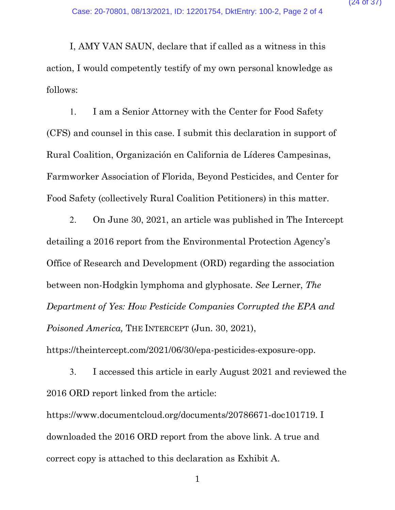I, AMY VAN SAUN, declare that if called as a witness in this action, I would competently testify of my own personal knowledge as follows:

1. I am a Senior Attorney with the Center for Food Safety (CFS) and counsel in this case. I submit this declaration in support of Rural Coalition, Organización en California de Líderes Campesinas, Farmworker Association of Florida, Beyond Pesticides, and Center for Food Safety (collectively Rural Coalition Petitioners) in this matter.

2. On June 30, 2021, an article was published in The Intercept detailing a 2016 report from the Environmental Protection Agency's Office of Research and Development (ORD) regarding the association between non-Hodgkin lymphoma and glyphosate. *See* Lerner, *The Department of Yes: How Pesticide Companies Corrupted the EPA and Poisoned America,* THE INTERCEPT (Jun. 30, 2021), https://theintercept.com/2021/06/30/epa-pesticides-exposure-opp.

3. I accessed this article in early August 2021 and reviewed the 2016 ORD report linked from the article:

https://www.documentcloud.org/documents/20786671-doc101719. I downloaded the 2016 ORD report from the above link. A true and correct copy is attached to this declaration as Exhibit A.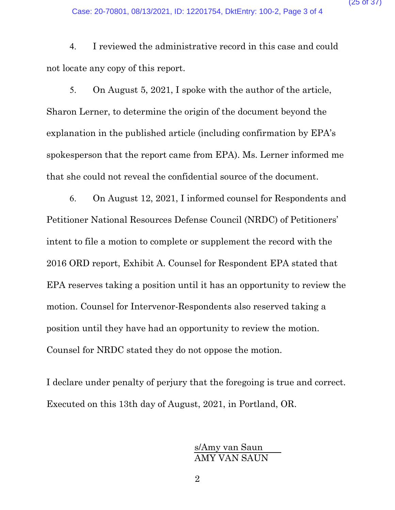Case: 20-70801, 08/13/2021, ID: 12201754, DktEntry: 100-2, Page 3 of 4

4. I reviewed the administrative record in this case and could not locate any copy of this report.

5. On August 5, 2021, I spoke with the author of the article, Sharon Lerner, to determine the origin of the document beyond the explanation in the published article (including confirmation by EPA's spokesperson that the report came from EPA). Ms. Lerner informed me that she could not reveal the confidential source of the document.

6. On August 12, 2021, I informed counsel for Respondents and Petitioner National Resources Defense Council (NRDC) of Petitioners' intent to file a motion to complete or supplement the record with the 2016 ORD report, Exhibit A. Counsel for Respondent EPA stated that EPA reserves taking a position until it has an opportunity to review the motion. Counsel for Intervenor-Respondents also reserved taking a position until they have had an opportunity to review the motion. Counsel for NRDC stated they do not oppose the motion.

I declare under penalty of perjury that the foregoing is true and correct. Executed on this 13th day of August, 2021, in Portland, OR.

> s/Amy van Saun AMY VAN SAUN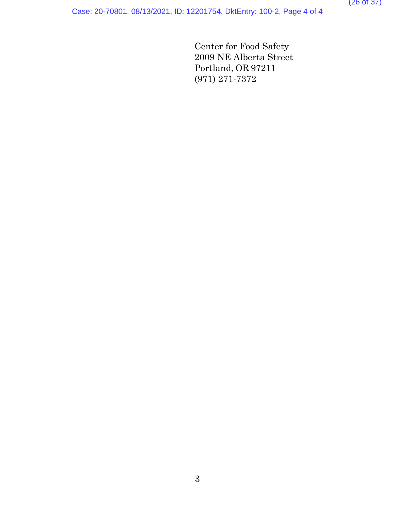# Case: 20-70801, 08/13/2021, ID: 12201754, DktEntry: 100-2, Page 4 of 4

Center for Food Safety 2009 NE Alberta Street Portland, OR 97211 (971) 271-7372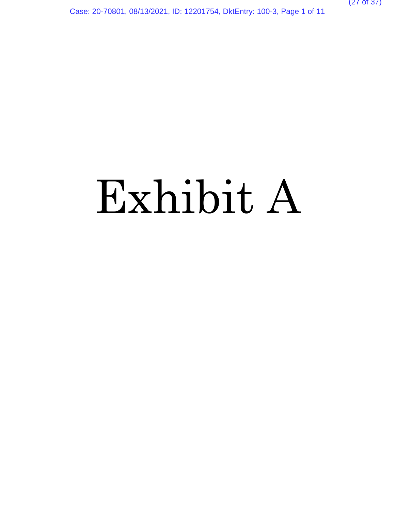Case: 20-70801, 08/13/2021, ID: 12201754, DktEntry: 100-3, Page 1 of 11

# Exhibit A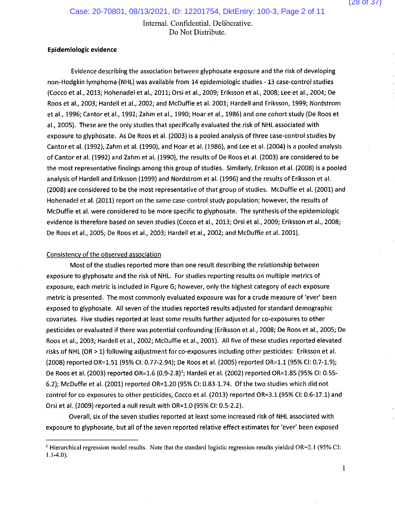#### Epidemiologic evidence

Evidence describing the association between glyphosate exposure and the risk of developing non-Hodgkin lymphoma (NHL) was available from 14 epidemiologic studies - 13 case-control studies (Cocco et al., 2013; Hohenadel et al., 2011; Orsi et al., 2009; Eriksson et al., 2008; Lee et al., 2004; De Roos et al., 2003; Hardell et al., 2002; and McDuffie et al. 2001; Hardell and Eriksson, 1999; Nordstrom et al., 1996; Cantor et al., 1992; Zahm et al., 1990; Hoar et al., 1986) and one cohort study (De Roos et al., 2005). These are the only studies that specifically evaluated the risk of NHL associated with exposure to glyphosate. As De Roos et al. (2003) is a pooled analysis of three case-control studies by Cantor et al. (1992), Zahm et al. (1990), and Hoar et al. (1986), and Lee et al. (2004) is a pooled analysis of Cantor et al. (1992) and Zahm et al. (1990), the results of De Roos et al. (2003) are considered to be the most representative findings among this group of studies. Similarly, Eriksson et al. (2008) is a pooled analysis of Hardell and Eriksson (1999) and Nordstrom et al. (1996) and the results of Eriksson et al. (2008) are considered to be the most representative of that group of studies. McDuffie et al. (2001) and Hohenadel et al. (2011) report on the same case-control study population; however, the results of McDuffie et al. were considered to be more specific to glyphosate. The synthesis of the epidemiologic evidence is therefore based on seven studies (Cocco et al., 2013; Orsi et al., 2009; Eriksson et al., 2008; De Roos et al., 2005; De Roos et al., 2003; Hardell et al., 2002; and McDuffie et al. 2001).

## Consistency of the observed association

Most of the studies reported more than one result describing the relationship between exposure to glyphosate and the risk of NHL. For studies reporting results on multiple metrics of exposure, each metric is included in Figure G; however, only the highest category of each exposure metric is presented. The most commonly evaluated exposure was for a crude measure of 'ever' been exposed to glyphosate. All seven of the studies reported results adjusted for standard demographic covariates. Five studies reported at least some results further adjusted for co-exposures to other pesticides or evaluated if there was potential confounding (Eriksson et al., 2008; De Roos et al., 2005; De Roos et al., 2003; Hardell et al., 2002; McDuffie et al., 2001). All five of these studies reported elevated risks of NHL (OR > 1) following adjustment for co-exposures including other pesticides: Eriksson et al. (2008) reported OR=1.51 (95% CI: 0.77-2.94); De Roos et al. (2005) reported OR=1.1 (95% CI: 0.7-1.9); De Roos et al. (2003) reported OR=1.6 (0.9-2.8)<sup>1</sup>; Hardell et al. (2002) reported OR=1.85 (95% CI: 0.55-6.2); McDuffie et al. (2001) reported OR=1.20 (95% CI: 0.83-1.74. Of the two studies which did not control for co-exposures to other pesticides, Cocco et al. (2013) reported OR=3.1 (95% CI: 0.6-17.1) and Orsi et al. (2009) reported a null result with OR=1.0 (95% CI: 0.5-2.2).

Overall, six of the seven studies reported at least some increased risk of NHL associated with exposure to glyphosate, but all of the seven reported relative effect estimates for 'ever' been exposed

 $\mathbf{1}$ 

<sup>&</sup>lt;sup>1</sup> Hierarchical regression model results. Note that the standard logistic regression results yielded OR=2.1 (95% CI:  $1.1 - 4.0$ ).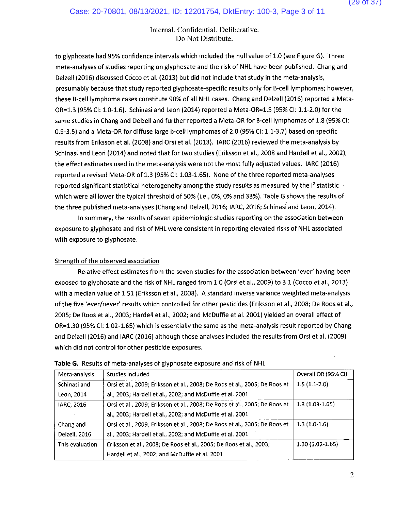to glyphosate had 95% confidence intervals which included the null value of 1.0 (see Figure G). Three meta-analyses of studies reporting on glyphosate and the risk of NHL have been published. Chang and Delzell (2016) discussed Cocco et al. (2013) but did not include that study in the meta-analysis, presumably because that study reported glyphosate-specific results only for B-cell lymphomas; however, these B-cell lymphoma cases constitute 90% of all NHL cases. Chang and Delzell (2016) reported a Meta-OR=1.3 (95% CI: 1.0-1.6). Schinasi and Leon (2014) reported a Meta-OR=1.5 (95% CI: 1.1-2.0) for the same studies in Chang and Delzell and further reported a Meta-OR for B-cell lymphomas of 1.8 (95% CI: 0.9-3.5) and a Meta-OR for diffuse large b-cell lymphomas of 2.0 (95% CI: 1.1-3.7) based on specific results from Eriksson et al. (2008) and Orsi et al. (2013). IARC (2016) reviewed the meta-analysis by Schinasi and Leon (2014) and noted that for two studies (Eriksson et al., 2008 and Hardell et al., 2002), the effect estimates used in the meta-analysis were not the most fully adjusted values. IARC (2016) reported a revised Meta-OR of 1.3 (95% CI: 1.03-1.65). None of the three reported meta-analyses reported significant statistical heterogeneity among the study results as measured by the <sup>12</sup> statistic which were all lower the typical threshold of 50% (i.e., 0%, 0% and 33%). Table G shows the results of the three published meta-analyses (Chang and Delzell, 2016; IARC, 2016; Schinasi and Leon, 2014).

In summary, the results of seven epidemiologic studies reporting on the association between exposure to glyphosate and risk of NHL were consistent in reporting elevated risks of NHL associated with exposure to glyphosate.

## Strength of the observed association

Relative effect estimates from the seven studies for the association between 'ever' having been exposed to glyphosate and the risk of NHL ranged from 1.0 (Orsi et al., 2009) to 3.1 (Cocco et al., 2013) with a median value of 1.51 (Eriksson et al., 2008). A standard inverse variance weighted meta-analysis of the five 'ever/never' results which controlled for other pesticides (Eriksson et al., 2008; De Roos et al., 2005; De Roos et al., 2003; Hardell et al., 2002; and McDuffie et al. 2001) yielded an overall effect of OR=1.30 (95% CI: 1.02-1.65) which is essentially the same as the meta-analysis result reported by Chang and Deizell (2016) and IARC (2016) although those analyses included the results from Orsi et al. (2009) which did not control for other pesticide exposures.

| Meta-analysis   | Studies included                                                           | Overall OR (95% CI) |
|-----------------|----------------------------------------------------------------------------|---------------------|
| Schinasi and    | Orsi et al., 2009; Eriksson et al., 2008; De Roos et al., 2005; De Roos et | $1.5(1.1-2.0)$      |
| Leon, 2014      | al., 2003; Hardell et al., 2002; and McDuffie et al. 2001                  |                     |
| IARC, 2016      | Orsi et al., 2009; Eriksson et al., 2008; De Roos et al., 2005; De Roos et | $1.3(1.03-1.65)$    |
|                 | al., 2003; Hardell et al., 2002; and McDuffie et al. 2001                  |                     |
| Chang and       | Orsi et al., 2009; Eriksson et al., 2008; De Roos et al., 2005; De Roos et | $1.3(1.0-1.6)$      |
| Delzell, 2016   | al., 2003; Hardell et al., 2002; and McDuffie et al. 2001                  |                     |
| This evaluation | Eriksson et al., 2008; De Roos et al., 2005; De Roos et al., 2003;         | $1.30(1.02-1.65)$   |
|                 | Hardell et al., 2002; and McDuffie et al. 2001                             |                     |

## **Table G.** Results of meta-analyses of glyphosate exposure and risk of NHL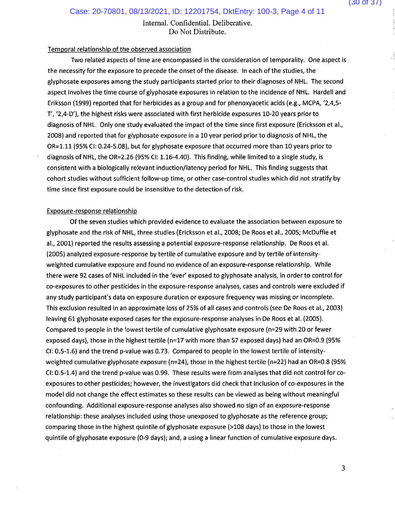Case: 20-70801, 08/13/2021, ID: 12201754, DktEntry: 100-3, Page 4 of 11

Internal. Confidential. Deliberative. Do Not Distribute.

#### Temporal relationship of the observed association

Two related aspects of time are encompassed in the consideration of temporality. One aspect is the necessity for the exposure to precede the onset of the disease. In each of the studies, the glyphosate exposures among the study participants started prior to their diagnoses of NHL. The second aspect involves the time course of glyphosate exposures in relation to the incidence of NHL. Hardell and Eriksson (1999) reported that for herbicides as a group and for phenoxyacetic acids (e.g., MCPA, '2,4,5-T', '2,4-D'), the highest risks were associated with first herbicide exposures 10-20 years prior to diagnosis of NHL. Only one study evaluated the impact of the time since first exposure (Ericksson et al., 2008) and reported that for glyphosate exposure in a 10 year period prior to diagnosis of NHL, the OR=1.11 (95% CI: 0.24-5.08), but for glyphosate exposure that occurred more than 10 years prior to diagnosis of NHL, the OR=2.26 (95% CI: 1.16-4.40). This finding, while limited to a single study, is consistent with a biologically relevant induction/latency period for NHL. This finding suggests that cohort studies without sufficient follow-up time, or other case-control studies which did not stratify by time since first exposure could be insensitive to the detection of risk.

#### Exposure-response relationship

Of the seven studies which provided evidence to evaluate the association between exposure to glyphosate and the risk of NHL, three studies (Ericksson et al., 2008; De Roos et al., 2005; McDuffie et al., 2001) reported the results assessing a potential exposure-response relationship. De Roos et al. (2005) analyzed exposure-response by tertile of cumulative exposure and by tertile of intensityweighted cumulative exposure and found no evidence of an exposure-response relationship. While there were 92 cases of NHL included in the 'ever' exposed to glyphosate analysis, in order to control for co-exposures to other pesticides in the exposure-response analyses, cases and controls were excluded if any study participant's data on exposure duration or exposure frequency was missing or incomplete. This exclusion resulted in an approximate loss of 25% of all cases and controls (see De Roos et al., 2003) leaving 61 glyphosate exposed cases for the exposure-response analyses in De Roos et al. (2005). Compared to people in the lowest tertile of cumulative glyphosate exposure (n=29 with 20 or fewer exposed days), those in the highest tertile (n=17 with more than 57 exposed days) had an OR=0.9 (95% CI: 0.5-1.6) and the trend p-value was 0.73. Compared to people in the lowest tertile of intensityweighted cumulative glyphosate exposure (n=24), those in the highest tertile (n=22) had an OR=0.8 (95% CI: 0.5-1.4) and the trend p-value was 0.99. These results were from analyses that did not control for coexposures to other pesticides; however, the investigators did check that inclusion of co-exposures in the model did not change the effect estimates so these results can be viewed as being without meaningful confounding. Additional exposure-response analyses also showed no sign of an exposure-response relationship: these analyses included using those unexposed to glyphosate as the reference group; comparing those in the highest quintile of glyphosate exposure (>108 days) to those in the lowest quintile of glyphosate exposure (0-9 days); and, a using a linear function of cumulative exposure days.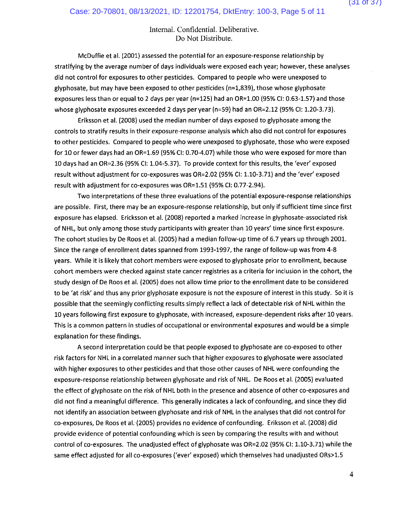McDuffie et al. (2001) assessed the potential for an exposure-response relationship by stratifying by the average number of days individuals were exposed each year; however, these analyses did not control for exposures to other pesticides. Compared to people who were unexposed to glyphosate, but may have been exposed to other pesticides (n=1,839), those whose glyphosate exposures less than or equal to 2 days per year (n=125) had an OR=1.00 (95% CI: 0.63-1.57) and those whose glyphosate exposures exceeded 2 days per year (n=59) had an OR=2.12 (95% CI: 1.20-3.73).

Eriksson et al. (2008) used the median number of days exposed to glyphosate among the controls to stratify results in their exposure-response analysis which also did not control for exposures to other pesticides. Compared to people who were unexposed to glyphosate, those who were exposed for 10 or fewer days had an OR=1.69 (95% CI: 0.70-4.07) while those who were exposed for more than 10 days had an OR=2.36 (95% CI: 1.04-5.37). To provide context for this results, the 'ever' exposed result without adjustment for co-exposures was OR=2.02 (95% CI: 1.10-3.71) and the 'ever' exposed result with adjustment for co-exposures was OR=1.51 (95% CI: 0.77-2.94).

Two interpretations of these three evaluations of the potential exposure-response relationships are possible. First, there may be an exposure-response relationship, but only if sufficient time since first exposure has elapsed. Ericksson et al. (2008) reported a marked increase in glyphosate-associated risk of NHL, but only among those study participants with greater than 10 years' time since first exposure. The cohort studies by De Roos et al. (2005) had a median follow-up time of 6.7 years up through 2001. Since the range of enrollment dates spanned from 1993-1997, the range of follow-up was from 4-8 years. While it is likely that cohort members were exposed to glyphosate prior to enrollment, because cohort members were checked against state cancer registries as a criteria for inclusion in the cohort, the study design of De Roos et al. (2005) does not allow time prior to the enrollment date to be considered to be 'at risk' and thus any prior glyphosate exposure is not the exposure of interest in this study. So it is possible that the seemingly conflicting results simply reflect a lack of detectable risk of NHL within the 10 years following first exposure to glyphosate, with increased, exposure-dependent risks after 10 years. This is a common pattern in studies of occupational or environmental exposures and would be a simple explanation for these findings.

A second interpretation could be that people exposed to glyphosate are co-exposed to other risk factors for NHL in a correlated manner such that higher exposures to glyphosate were associated with higher exposures to other pesticides and that those other causes of NHL were confounding the exposure-response relationship between glyphosate and risk of NHL. De Roos et al. (2005) evaluated the effect of glyphosate on the risk of NHL both in the presence and absence of other co-exposures and did not find a meaningful difference. This generally indicates a lack of confounding, and since they did not identify an association between glyphosate and risk of NHL in the analyses that did not control for co-exposures, De Roos et al. (2005) provides no evidence of confounding. Eriksson et al. (2008) did provide evidence of potential confounding which is seen by comparing the results with and without control of co-exposures. The unadjusted effect of glyphosate was OR=2.02 (95% CI: 1.10-3.71) while the same effect adjusted for all co-exposures ('ever' exposed) which themselves had unadjusted ORs>1.5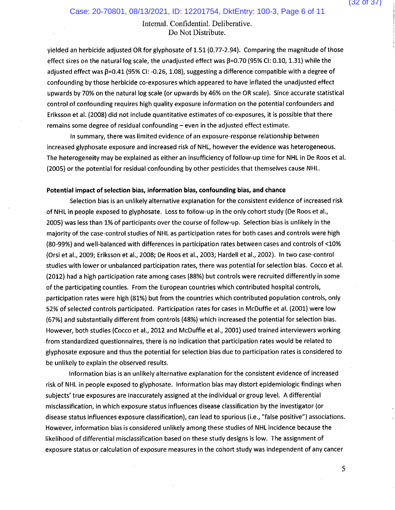yielded an herbicide adjusted OR for glyphosate of 1.51 (0.77-2.94). Comparing the magnitude of those effect sizes on the natural log scale, the unadjusted effect was  $\beta$ =0.70 (95% CI: 0.10, 1.31) while the adjusted effect was  $\beta$ =0.41 (95% CI: -0.26, 1.08), suggesting a difference compatible with a degree of confounding by those herbicide co-exposures which appeared to have inflated the unadjusted effect upwards by 70% on the natural log scale (or upwards by 46% on the OR scale). Since accurate statistical control of confounding requires high quality exposure information on the potential confounders and Eriksson et al. (2008) did not include quantitative estimates of co-exposures, it is possible that there remains some degree of residual confounding - even in the adjusted effect estimate.

In summary, there was limited evidence of an exposure-response relationship between increased glyphosate exposure and increased risk of NHL, however the evidence was heterogeneous. The heterogeneity may be explained as either an insufficiency of follow-up time for NHL in De Roos et al. (2005) or the potential for residual confounding by other pesticides that themselves cause NHL.

#### Potential impact of selection bias, information bias, confounding bias, and chance

Selection bias is an unlikely alternative explanation for the consistent evidence of increased risk of NHL in people exposed to glyphosate. Loss to follow-up in the only cohort study (De Roos et al., 2005) was less than 1% of participants over the course of follow-up. Selection bias is unlikely in the majority of the case-control studies of NHL as participation rates for both cases and controls were high (80-99%) and well-balanced with differences in participation rates between cases and controls of <10% (Orsi et al., 2009; Eriksson et al., 2008; De Roos et al., 2003; Hardell et al., 2002). In two case-control studies with lower or unbalanced participation rates, there was potential for selection bias. Cocco et al. (2012) had a high participation rate among cases (88%) but controls were recruited differently in some of the participating counties. From the European countries which contributed hospital controls, participation rates were high (81%) but from the countries which contributed population controls, only 52% of selected controls participated. Participation rates for cases in McDuffie et al. (2001) were low (67%) and substantially different from controls (48%) which increased the potential for selection bias. However, both studies (Cocco et al., 2012 and McDuffie et al., 2001) used trained interviewers working from standardized questionnaires, there is no indication that participation rates would be related to glyphosate exposure and thus the potential for selection bias due to participation rates is considered to be unlikely to explain the observed results.

Information bias is an unlikely alternative explanation for the consistent evidence of increased risk of NHL in people exposed to glyphosate. Information bias may distort epidemiologic findings when subjects' true exposures are inaccurately assigned at the individual or group level. A differential misclassification, in which exposure status influences disease classification by the investigator (or disease status influences exposure classification), can lead to spurious (i.e., "false positive") associations. However, information bias is considered unlikely among these studies of NHL incidence because the likelihood of differential misclassification based on these study designs is low. The assignment of exposure status or calculation of exposure measures in the cohort study was independent of any cancer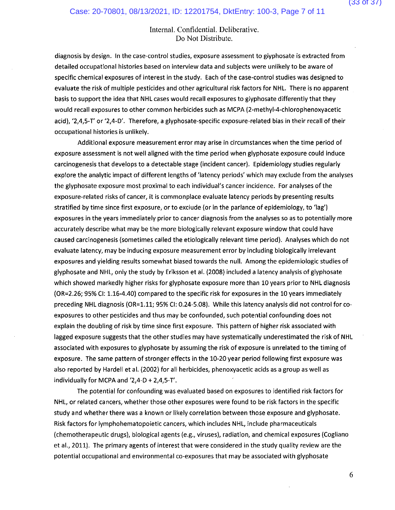diagnosis by design. In the case-control studies, exposure assessment to glyphosate is extracted from detailed occupational histories based on interview data and subjects were unlikely to be aware of specific chemical exposures of interest in the study. Each of the case-control studies was designed to evaluate the risk of multiple pesticides and other agricultural risk factors for NHL. There is no apparent basis to support the idea that NHL cases would recall exposures to glyphosate differently that they would recall exposures to other common herbicides such as MCPA (2-methyl-4-chlorophenoxyacetic acid), '2,4,5-T' or '2,4-D'. Therefore, a glyphosate-specific exposure-related bias in their recall of their occupational histories is unlikely.

Additional exposure measurement error may arise in circumstances when the time period of exposure assessment is not well aligned with the time period when glyphosate exposure could induce carcinogenesis that develops to a detectable stage (incident cancer). Epidemiology studies regularly explore the analytic impact of different lengths of 'latency periods' which may exclude from the analyses the glyphosate exposure most proximal to each individual's cancer incidence. For analyses of the exposure-related risks of cancer, it is commonplace evaluate latency periods by presenting results stratified by time since first exposure, or to exclude (or in the parlance of epidemiology, to 'lag') exposures in the years immediately prior to cancer diagnosis from the analyses so as to potentially more accurately describe what may be the more biologically relevant exposure window that could have caused carcinogenesis (sometimes called the etiologically relevant time period). Analyses which do not evaluate latency, may be inducing exposure measurement error by including biologically irrelevant exposures and yielding results somewhat biased towards the null. Among the epidemiologic studies of glyphosate and NHL, only the study by Eriksson et al. (2008) included a latency analysis of glyphosate which showed markedly higher risks for glyphosate exposure more than 10 years prior to NHL diagnosis (OR=2.26; 95% CI: 1.16-4.40) compared to the specific risk for exposures in the 10 years immediately preceding NHL diagnosis (OR=1.11; 95% CI: 0.24-5.08). While this latency analysis did not control for coexposures to other pesticides and thus may be confounded, such potential confounding does not explain the doubling of risk by time since first exposure. This pattern of higher risk associated with lagged exposure suggests that the other studies may have systematically underestimated the risk of NHL associated with exposures to glyphosate by assuming the risk of exposure is unrelated to the timing of exposure. The same pattern of stronger effects in the 10-20 year period following first exposure was also reported by Hardell et al. (2002) for all herbicides, phenoxyacetic acids as a group as well as individually for MCPA and '2,4-D + 2,4,5-T'.

The potential for confounding was evaluated based on exposures to identified risk factors for NHL, or related cancers, whether those other exposures were found to be risk factors in the specific study and whether there was a known or likely correlation between those exposure and glyphosate. Risk factors for lymphohematopoietic cancers, which includes NHL, include pharmaceuticals (chemotherapeutic drugs), biological agents (e.g., viruses), radiation, and chemical exposures (Cogliano et al., 2011). The primary agents of interest that were considered in the study quality review are the potential occupational and environmental co-exposures that may be associated with glyphosate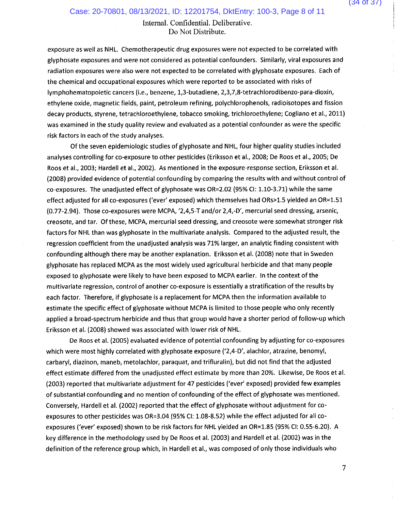exposure as well as NHL. Chemotherapeutic drug exposures were not expected to be correlated with glyphosate exposures and were not considered as potential confounders. Similarly, viral exposures and radiation exposures were also were not expected to be correlated with glyphosate exposures. Each of the chemical and occupational exposures which were reported to be associated with risks of lymphohematopoietic cancers (i.e., benzene, 1,3-butadiene, 2,3,7,8-tetrachlorodibenzo-para-dioxin, ethylene oxide, magnetic fields, paint, petroleum refining, polychlorophenols, radioisotopes and fission decay products, styrene, tetrachloroethylene, tobacco smoking, trichloroethylene; Cogliano et al., 2011) was examined in the study quality review and evaluated as a potential confounder as were the specific risk factors in each of the study analyses.

Of the seven epidemiologic studies of glyphosate and NHL, four higher quality studies included analyses controlling for co-exposure to other pesticides (Eriksson et al., 2008; De Roos et al., 2005; De Roos et al., 2003; Hardell et al., 2002). As mentioned in the exposure-response section, Eriksson et al. (2008) provided evidence of potential confounding by comparing the results with and without control of co-exposures. The unadjusted effect of glyphosate was OR=2.02 (95% CI: 1.10-3.71) while the same effect adjusted for all co-exposures ('ever' exposed) which themselves had ORs>1.5 yielded an OR=1.51 (0.77-2.94). Those co-exposures were MCPA, '2,4,5-T and/or 2,4,-D', mercurial seed dressing, arsenic, creosote, and tar. Of these, MCPA, mercurial seed dressing, and creosote were somewhat stronger risk factors for NHL than was glyphosate in the multivariate analysis. Compared to the adjusted result, the regression coefficient from the unadjusted analysis was 71% larger, an analytic finding consistent with confounding although there may be another explanation. Eriksson et al. (2008) note that in Sweden glyphosate has replaced MCPA as the most widely used agricultural herbicide and that many people exposed to glyphosate were likely to have been exposed to MCPA earlier. In the context of the multivariate regression, control of another co-exposure is essentially a stratification of the results by each factor. Therefore, if glyphosate is a replacement for MCPA then the information available to estimate the specific effect of glyphosate without MCPA is limited to those people who only recently applied a broad-spectrum herbicide and thus that group would have a shorter period of follow-up which Eriksson et al. (2008) showed was associated with lower risk of NHL.

De Roos et al. (2005) evaluated evidence of potential confounding by adjusting for co-exposures which were most highly correlated with glyphosate exposure ('2,4-D', alachlor, atrazine, benomyl, carbaryl, diazinon, maneb, metolachlor, paraquat, and trifluralin), but did not find that the adjusted effect estimate differed from the unadjusted effect estimate by more than 20%. Likewise, De Roos et al. (2003) reported that multivariate adjustment for 47 pesticides ('ever' exposed) provided few examples of substantial confounding and no mention of confounding of the effect of glyphosate was mentioned. Conversely, Hardell et al. (2002) reported that the effect of glyphosate without adjustment for coexposures to other pesticides was OR=3.04 (95% CI: 1.08-8.52) while the effect adjusted for all coexposures ('ever' exposed) shown to be risk factors for NHL yielded an OR=1.85 (95% CI: 0.55-6.20). A key difference in the methodology used by De Roos et al. (2003) and Hardell et al. (2002) was in the definition of the reference group which, in Hardell et al., was composed of only those individuals who

 $\overline{7}$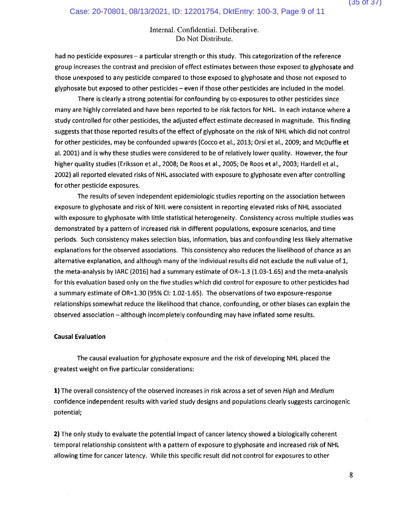had no pesticide exposures - a particular strength or this study. This categorization of the reference group increases the contrast and precision of effect estimates between those exposed to glyphosate and those unexposed to any pesticide compared to those exposed to glyphosate and those not exposed to glyphosate but exposed to other pesticides - even if those other pesticides are included in the model.

There is clearly a strong potential for confounding by co-exposures to other pesticides since many are highly correlated and have been reported to be risk factors for NHL. In each instance where a study controlled for other pesticides, the adjusted effect estimate decreased in magnitude. This finding suggests that those reported results of the effect of glyphosate on the risk of NHL which did not control for other pesticides, may be confounded upwards (Cocco et al., 2013; Orsi et al., 2009; and McDuffie et al. 2001) and is why these studies were considered to be of relatively lower quality. However, the four higher quality studies (Eriksson et al., 2008; De Roos et al., 2005; De Roos et al., 2003; Hardell et al., 2002) all reported elevated risks of NHL associated with exposure to glyphosate even after controlling for other pesticide exposures.

The results of seven independent epidemiologic studies reporting on the association between exposure to glyphosate and risk of NHL were consistent in reporting elevated risks of NHL associated with exposure to glyphosate with little statistical heterogeneity. Consistency across multiple studies was demonstrated by a pattern of increased risk in different populations, exposure scenarios, and time periods. Such consistency makes selection bias, information, bias and confounding less likely alternative explanations for the observed associations. This consistency also reduces the likelihood of chance as an alternative explanation, and although many of the individual results did not exclude the null value of 1, the meta-analysis by IARC (2016) had a summary estimate of  $OR=1.3$  (1.03-1.65) and the meta-analysis for this evaluation based only on the five studies which did control for exposure to other pesticides had a summary estimate of OR=1.30 (95% CI: 1.02-1.65). The observations of two exposure-response relationships somewhat reduce the likelihood that chance, confounding, or other biases can explain the observed association - although incompletely confounding may have inflated some results.

## **Causal Evaluation**

The causal evaluation for glyphosate exposure and the risk of developing NHL placed the greatest weight on five particular considerations:

1) The overall consistency of the observed increases in risk across a set of seven High and Medium confidence independent results with varied study designs and populations clearly suggests carcinogenic potential;

2) The only study to evaluate the potential impact of cancer latency showed a biologically coherent temporal relationship consistent with a pattern of exposure to glyphosate and increased risk of NHL allowing time for cancer latency. While this specific result did not control for exposures to other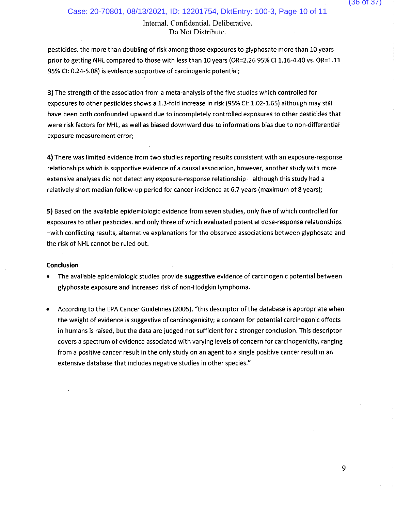pesticides, the more than doubling of risk among those exposures to glyphosate more than 10 years prior to getting NHL compared to those with less than 10 years (OR=2.26 95% CI 1.16-4.40 vs. OR=1.11 95% CI: 0.24-5.08) is evidence supportive of carcinogenic potential;

3) The strength of the association from a meta-analysis of the five studies which controlled for exposures to other pesticides shows a 1.3-fold increase in risk (95% CI: 1.02-1.65) although may still have been both confounded upward due to incompletely controlled exposures to other pesticides that were risk factors for NHL, as well as biased downward due to informations bias due to non-differential exposure measurement error;

4) There was limited evidence from two studies reporting results consistent with an exposure-response relationships which is supportive evidence of a causal association, however, another study with more extensive analyses did not detect any exposure-response relationship - although this study had a relatively short median follow-up period for cancer incidence at 6.7 years (maximum of 8 years);

5) Based on the available epidemiologic evidence from seven studies, only five of which controlled for exposures to other pesticides, and only three of which evaluated potential dose-response relationships -with conflicting results, alternative explanations for the observed associations between glyphosate and the risk of NHL cannot be ruled out.

## Conclusion

- The available epidemiologic studies provide suggestive evidence of carcinogenic potential between glyphosate exposure and increased risk of non-Hodgkin lymphoma.
- According to the EPA Cancer Guidelines (2005), "this descriptor of the database is appropriate when the weight of evidence is suggestive of carcinogenicity; a concern for potential carcinogenic effects in humans is raised, but the data are judged not sufficient for a stronger conclusion. This descriptor covers a spectrum of evidence associated with varying levels of concern for carcinogenicity, ranging from a positive cancer result in the only study on an agent to a single positive cancer result in an extensive database that includes negative studies in other species."